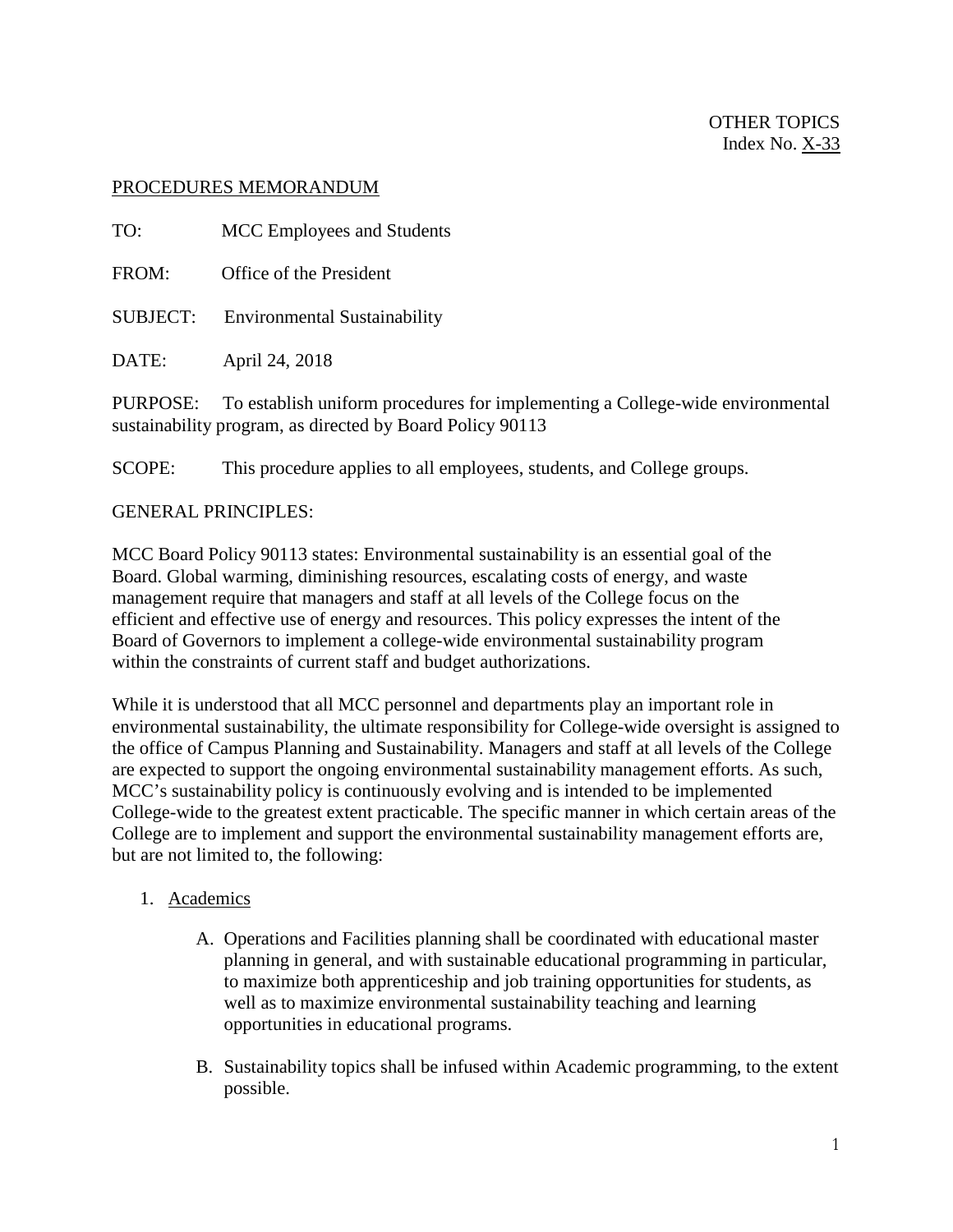### PROCEDURES MEMORANDUM

TO: MCC Employees and Students FROM: Office of the President SUBJECT: Environmental Sustainability DATE: April 24, 2018

PURPOSE: To establish uniform procedures for implementing a College-wide environmental sustainability program, as directed by Board Policy 90113

SCOPE: This procedure applies to all employees, students, and College groups.

#### GENERAL PRINCIPLES:

MCC Board Policy 90113 states: Environmental sustainability is an essential goal of the Board. Global warming, diminishing resources, escalating costs of energy, and waste management require that managers and staff at all levels of the College focus on the efficient and effective use of energy and resources. This policy expresses the intent of the Board of Governors to implement a college-wide environmental sustainability program within the constraints of current staff and budget authorizations.

While it is understood that all MCC personnel and departments play an important role in environmental sustainability, the ultimate responsibility for College-wide oversight is assigned to the office of Campus Planning and Sustainability. Managers and staff at all levels of the College are expected to support the ongoing environmental sustainability management efforts. As such, MCC's sustainability policy is continuously evolving and is intended to be implemented College-wide to the greatest extent practicable. The specific manner in which certain areas of the College are to implement and support the environmental sustainability management efforts are, but are not limited to, the following:

### 1. Academics

- A. Operations and Facilities planning shall be coordinated with educational master planning in general, and with sustainable educational programming in particular, to maximize both apprenticeship and job training opportunities for students, as well as to maximize environmental sustainability teaching and learning opportunities in educational programs.
- B. Sustainability topics shall be infused within Academic programming, to the extent possible.